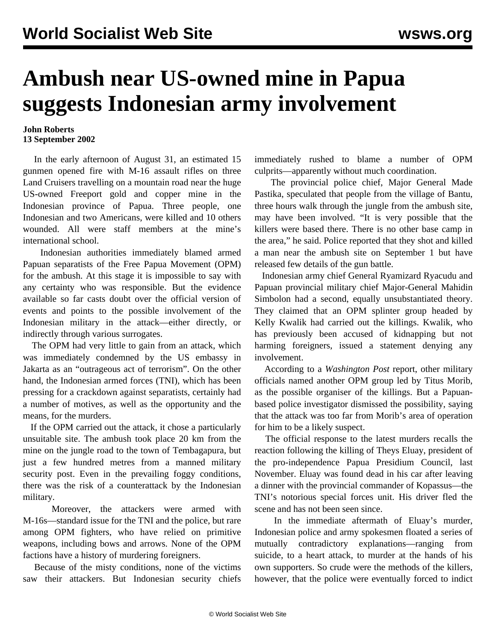## **Ambush near US-owned mine in Papua suggests Indonesian army involvement**

## **John Roberts 13 September 2002**

 In the early afternoon of August 31, an estimated 15 gunmen opened fire with M-16 assault rifles on three Land Cruisers travelling on a mountain road near the huge US-owned Freeport gold and copper mine in the Indonesian province of Papua. Three people, one Indonesian and two Americans, were killed and 10 others wounded. All were staff members at the mine's international school.

 Indonesian authorities immediately blamed armed Papuan separatists of the Free Papua Movement (OPM) for the ambush. At this stage it is impossible to say with any certainty who was responsible. But the evidence available so far casts doubt over the official version of events and points to the possible involvement of the Indonesian military in the attack—either directly, or indirectly through various surrogates.

 The OPM had very little to gain from an attack, which was immediately condemned by the US embassy in Jakarta as an "outrageous act of terrorism". On the other hand, the Indonesian armed forces (TNI), which has been pressing for a crackdown against separatists, certainly had a number of motives, as well as the opportunity and the means, for the murders.

 If the OPM carried out the attack, it chose a particularly unsuitable site. The ambush took place 20 km from the mine on the jungle road to the town of Tembagapura, but just a few hundred metres from a manned military security post. Even in the prevailing foggy conditions, there was the risk of a counterattack by the Indonesian military.

 Moreover, the attackers were armed with M-16s—standard issue for the TNI and the police, but rare among OPM fighters, who have relied on primitive weapons, including bows and arrows. None of the OPM factions have a history of murdering foreigners.

 Because of the misty conditions, none of the victims saw their attackers. But Indonesian security chiefs

immediately rushed to blame a number of OPM culprits—apparently without much coordination.

 The provincial police chief, Major General Made Pastika, speculated that people from the village of Bantu, three hours walk through the jungle from the ambush site, may have been involved. "It is very possible that the killers were based there. There is no other base camp in the area," he said. Police reported that they shot and killed a man near the ambush site on September 1 but have released few details of the gun battle.

 Indonesian army chief General Ryamizard Ryacudu and Papuan provincial military chief Major-General Mahidin Simbolon had a second, equally unsubstantiated theory. They claimed that an OPM splinter group headed by Kelly Kwalik had carried out the killings. Kwalik, who has previously been accused of kidnapping but not harming foreigners, issued a statement denying any involvement.

 According to a *Washington Post* report, other military officials named another OPM group led by Titus Morib, as the possible organiser of the killings. But a Papuanbased police investigator dismissed the possibility, saying that the attack was too far from Morib's area of operation for him to be a likely suspect.

 The official response to the latest murders recalls the reaction following the killing of Theys Eluay, president of the pro-independence Papua Presidium Council, last November. Eluay was found dead in his car after leaving a dinner with the provincial commander of Kopassus—the TNI's notorious special forces unit. His driver fled the scene and has not been seen since.

 In the immediate aftermath of Eluay's murder, Indonesian police and army spokesmen floated a series of mutually contradictory explanations—ranging from suicide, to a heart attack, to murder at the hands of his own supporters. So crude were the methods of the killers, however, that the police were eventually forced to indict